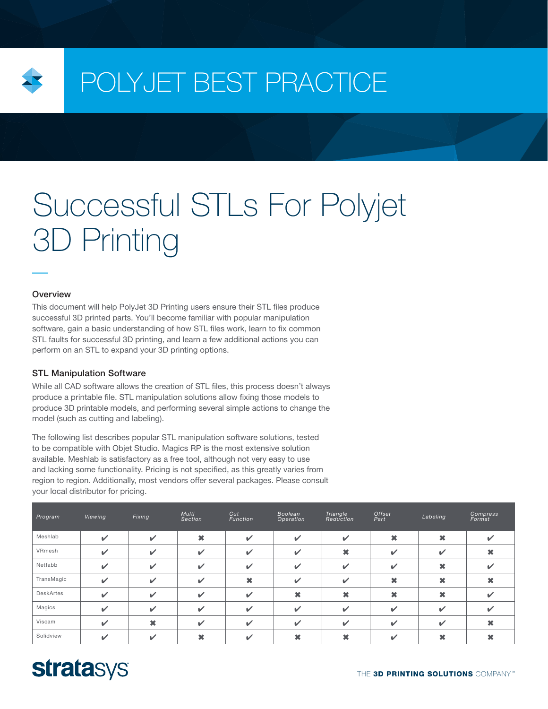

# POLYJET BEST PRACTICE

# Successful STLs For Polyjet 3D Printing

### **Overview**

This document will help PolyJet 3D Printing users ensure their STL files produce successful 3D printed parts. You'll become familiar with popular manipulation software, gain a basic understanding of how STL files work, learn to fix common STL faults for successful 3D printing, and learn a few additional actions you can perform on an STL to expand your 3D printing options.

## STL Manipulation Software

While all CAD software allows the creation of STL files, this process doesn't always produce a printable file. STL manipulation solutions allow fixing those models to produce 3D printable models, and performing several simple actions to change the model (such as cutting and labeling).

The following list describes popular STL manipulation software solutions, tested to be compatible with Objet Studio. Magics RP is the most extensive solution available. Meshlab is satisfactory as a free tool, although not very easy to use and lacking some functionality. Pricing is not specified, as this greatly varies from region to region. Additionally, most vendors offer several packages. Please consult your local distributor for pricing.

| Program    | Viewing      | Fixing         | Multi<br>Section | Cut<br>Function            | Boolean<br>Operation | Triangle<br>Reduction | Offset<br>Part | Labeling     | Compress<br>Format |
|------------|--------------|----------------|------------------|----------------------------|----------------------|-----------------------|----------------|--------------|--------------------|
| Meshlab    | $\checkmark$ | $\mathbf{v}$   | ×                | $\checkmark$               | $\checkmark$         | $\checkmark$          | ×              | ×            | v                  |
| VRmesh     | $\checkmark$ | $\mathbf{v}$   | $\checkmark$     | $\overline{\mathscr{L}}$   | $\checkmark$         | $\boldsymbol{\ast}$   | $\checkmark$   | ✓            |                    |
| Netfabb    | $\mathbf{v}$ | $\mathbf{v}$   | $\mathbf{v}$     | $\boldsymbol{\mathcal{U}}$ | $\checkmark$         | $\checkmark$          | $\checkmark$   | ×            | $\checkmark$       |
| TransMagic | $\checkmark$ | $\mathbf{v}$   | $\checkmark$     | ×                          | $\checkmark$         | $\checkmark$          | ×              | ×            |                    |
| DeskArtes  | ✓            | $\checkmark$   | $\checkmark$     | $\overline{\mathscr{L}}$   | ×                    | $\boldsymbol{\ast}$   | ×              | ×            | ✔                  |
| Magics     | ✓            | $\mathbf{v}$   | $\checkmark$     | $\overline{\mathscr{L}}$   | $\checkmark$         | $\checkmark$          | $\checkmark$   | $\checkmark$ | ✔                  |
| Viscam     | $\mathbf{v}$ | $\pmb{\times}$ | $\mathbf{v}$     | $\overline{\mathscr{L}}$   | $\checkmark$         | $\checkmark$          | $\checkmark$   | ✔            |                    |
| Solidview  | ✓            | $\checkmark$   | ×                | ✔                          |                      | ×                     | ✔              | ×            |                    |

# **stratasys**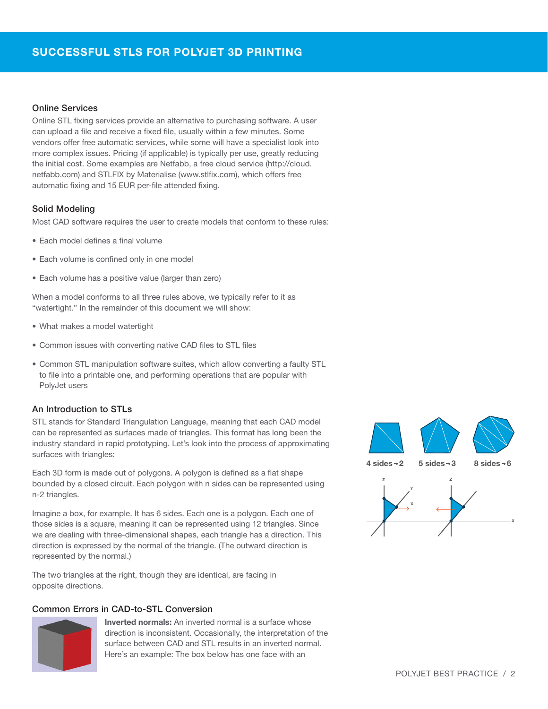# SUCCESSFUL STLS FOR POLYJET 3D PRINTING

# Online Services

Online STL fixing services provide an alternative to purchasing software. A user can upload a file and receive a fixed file, usually within a few minutes. Some vendors offer free automatic services, while some will have a specialist look into more complex issues. Pricing (if applicable) is typically per use, greatly reducing the initial cost. Some examples are Netfabb, a free cloud service (http://cloud. netfabb.com) and STLFIX by Materialise (www.stlfix.com), which offers free automatic fixing and 15 EUR per-file attended fixing.

#### Solid Modeling

Most CAD software requires the user to create models that conform to these rules:

- Each model defines a final volume
- Each volume is confined only in one model
- Each volume has a positive value (larger than zero)

When a model conforms to all three rules above, we typically refer to it as "watertight." In the remainder of this document we will show:

- What makes a model watertight
- Common issues with converting native CAD files to STL files
- Common STL manipulation software suites, which allow converting a faulty STL to file into a printable one, and performing operations that are popular with PolyJet users

## An Introduction to STLs

STL stands for Standard Triangulation Language, meaning that each CAD model can be represented as surfaces made of triangles. This format has long been the industry standard in rapid prototyping. Let's look into the process of approximating surfaces with triangles:

Each 3D form is made out of polygons. A polygon is defined as a flat shape bounded by a closed circuit. Each polygon with n sides can be represented using n-2 triangles.

Imagine a box, for example. It has 6 sides. Each one is a polygon. Each one of those sides is a square, meaning it can be represented using 12 triangles. Since we are dealing with three-dimensional shapes, each triangle has a direction. This direction is expressed by the normal of the triangle. (The outward direction is represented by the normal.)

The two triangles at the right, though they are identical, are facing in opposite directions.

# Common Errors in CAD-to-STL Conversion



Inverted normals: An inverted normal is a surface whose direction is inconsistent. Occasionally, the interpretation of the surface between CAD and STL results in an inverted normal. Here's an example: The box below has one face with an

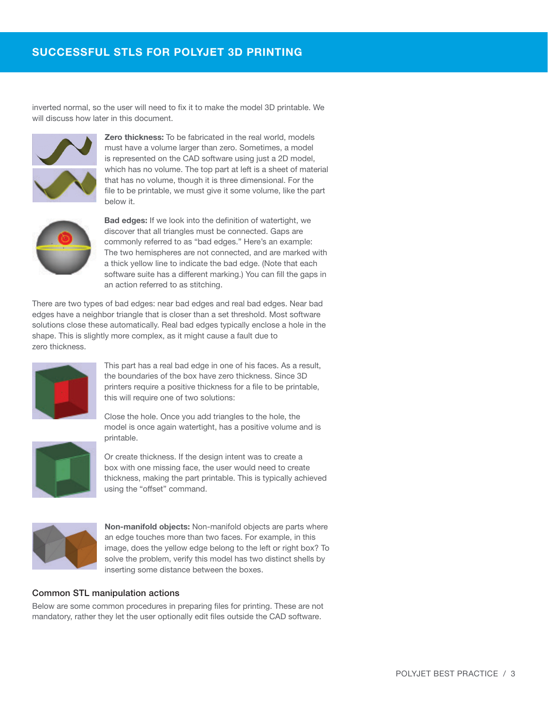inverted normal, so the user will need to fix it to make the model 3D printable. We will discuss how later in this document.



**Zero thickness:** To be fabricated in the real world, models must have a volume larger than zero. Sometimes, a model is represented on the CAD software using just a 2D model, which has no volume. The top part at left is a sheet of material that has no volume, though it is three dimensional. For the file to be printable, we must give it some volume, like the part below it.



Bad edges: If we look into the definition of watertight, we discover that all triangles must be connected. Gaps are commonly referred to as "bad edges." Here's an example: The two hemispheres are not connected, and are marked with a thick yellow line to indicate the bad edge. (Note that each software suite has a different marking.) You can fill the gaps in an action referred to as stitching.

There are two types of bad edges: near bad edges and real bad edges. Near bad edges have a neighbor triangle that is closer than a set threshold. Most software solutions close these automatically. Real bad edges typically enclose a hole in the shape. This is slightly more complex, as it might cause a fault due to zero thickness.



This part has a real bad edge in one of his faces. As a result, the boundaries of the box have zero thickness. Since 3D printers require a positive thickness for a file to be printable, this will require one of two solutions:

Close the hole. Once you add triangles to the hole, the model is once again watertight, has a positive volume and is printable.



Or create thickness. If the design intent was to create a box with one missing face, the user would need to create thickness, making the part printable. This is typically achieved using the "offset" command.



Non-manifold objects: Non-manifold objects are parts where an edge touches more than two faces. For example, in this image, does the yellow edge belong to the left or right box? To solve the problem, verify this model has two distinct shells by inserting some distance between the boxes.

# Common STL manipulation actions

Below are some common procedures in preparing files for printing. These are not mandatory, rather they let the user optionally edit files outside the CAD software.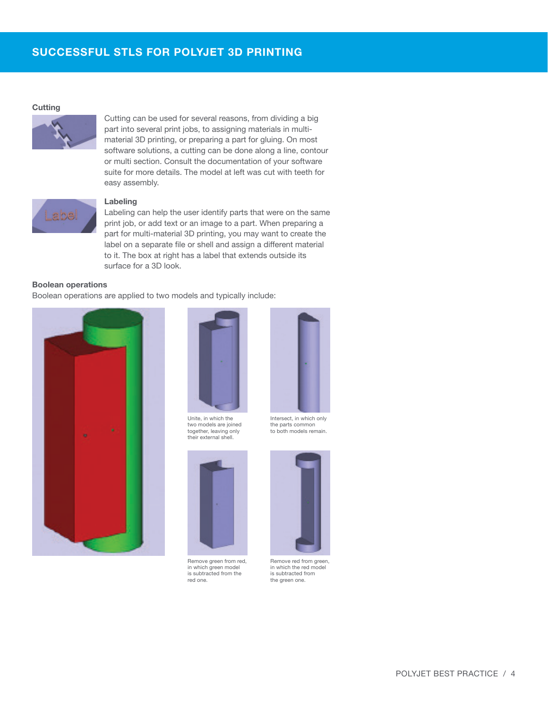#### **Cutting**



Cutting can be used for several reasons, from dividing a big part into several print jobs, to assigning materials in multimaterial 3D printing, or preparing a part for gluing. On most software solutions, a cutting can be done along a line, contour or multi section. Consult the documentation of your software suite for more details. The model at left was cut with teeth for easy assembly.



# Labeling

Labeling can help the user identify parts that were on the same print job, or add text or an image to a part. When preparing a part for multi-material 3D printing, you may want to create the label on a separate file or shell and assign a different material to it. The box at right has a label that extends outside its surface for a 3D look.

#### Boolean operations

Boolean operations are applied to two models and typically include:





two models are joined together, leaving only their external shell.



Remove green from red, in which green model is subtracted from the red one.



the parts common to both models remain.



Remove red from green, in which the red model is subtracted from the green one.